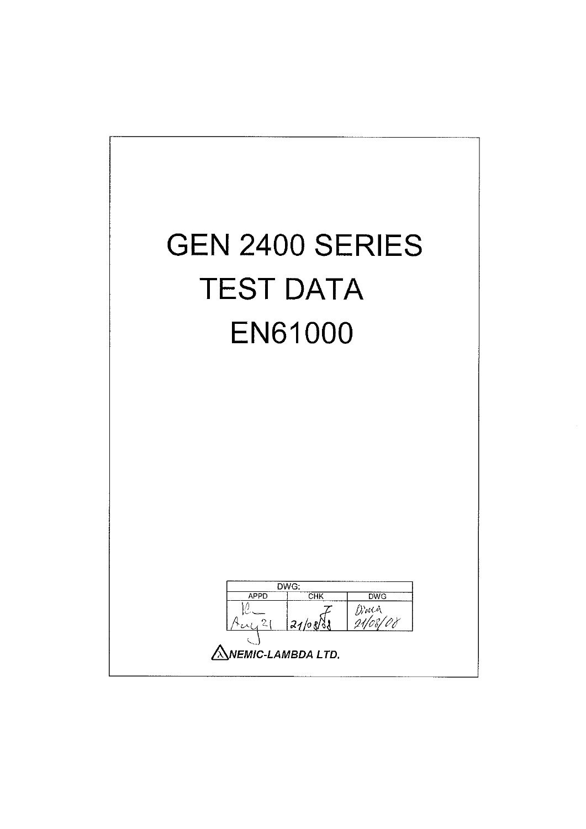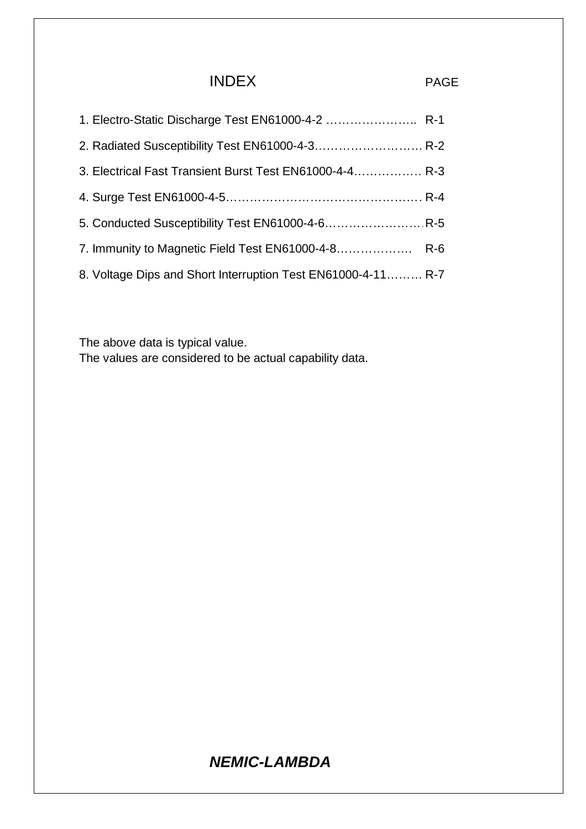## INDEX PAGE

| 1. Electro-Static Discharge Test EN61000-4-2  R-1            |  |
|--------------------------------------------------------------|--|
| 2. Radiated Susceptibility Test EN61000-4-3 R-2              |  |
| 3. Electrical Fast Transient Burst Test EN61000-4-4 R-3      |  |
|                                                              |  |
|                                                              |  |
|                                                              |  |
| 8. Voltage Dips and Short Interruption Test EN61000-4-11 R-7 |  |

The above data is typical value. The values are considered to be actual capability data.

# *NEMIC-LAMBDA*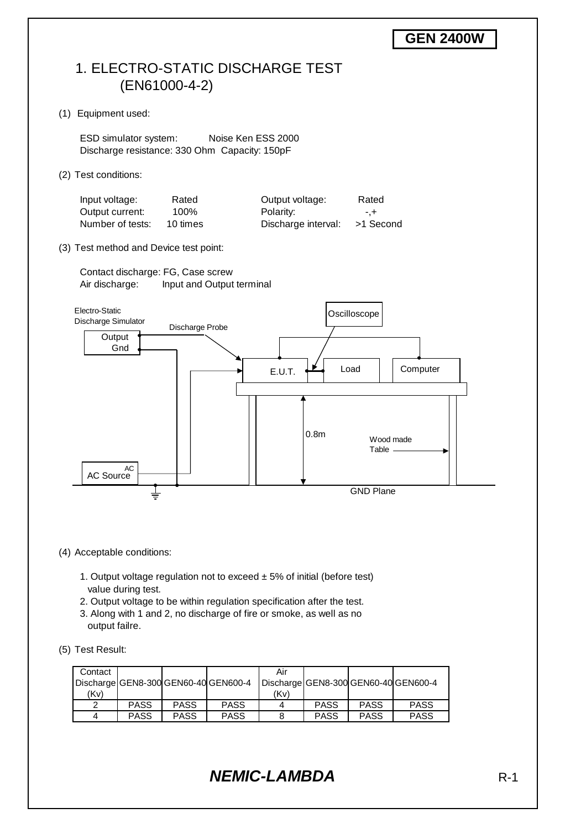

- (4) Acceptable conditions:
	- 1. Output voltage regulation not to exceed  $\pm$  5% of initial (before test) value during test.
	- 2. Output voltage to be within regulation specification after the test.
	- 3. Along with 1 and 2, no discharge of fire or smoke, as well as no output failre.
- (5) Test Result:

| Contact |             |             |                                      | Air  |             |             |                                      |
|---------|-------------|-------------|--------------------------------------|------|-------------|-------------|--------------------------------------|
|         |             |             | Discharge GEN8-300 GEN60-40 GEN600-4 |      |             |             | Discharge GEN8-300 GEN60-40 GEN600-4 |
| (Kv)    |             |             |                                      | (Kv) |             |             |                                      |
| ◠       | <b>PASS</b> | <b>PASS</b> | <b>PASS</b>                          |      | <b>PASS</b> | <b>PASS</b> | <b>PASS</b>                          |
| 4       | <b>PASS</b> | <b>PASS</b> | <b>PASS</b>                          |      | <b>PASS</b> | <b>PASS</b> | <b>PASS</b>                          |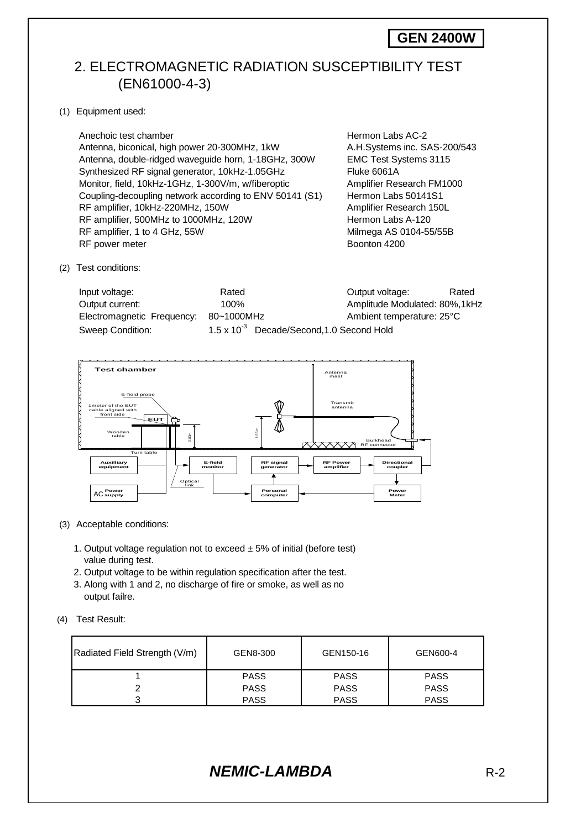## 2. ELECTROMAGNETIC RADIATION SUSCEPTIBILITY TEST (EN61000-4-3)

(1) Equipment used:

Anechoic test chamber **Hermon Labs AC-2 Hermon Labs AC-2**  Antenna, biconical, high power 20-300MHz, 1kW A.H.Systems inc. SAS-200/543 Antenna, double-ridged waveguide horn, 1-18GHz, 300W EMC Test Systems 3115 Synthesized RF signal generator, 10kHz-1.05GHz Fluke 6061A Monitor, field, 10kHz-1GHz, 1-300V/m, w/fiberoptic Amplifier Research FM1000 Coupling-decoupling network according to ENV 50141 (S1) Hermon Labs 50141S1 RF amplifier, 10kHz-220MHz, 150W Amplifier Research 150L RF amplifier, 500MHz to 1000MHz, 120W Hermon Labs A-120 RF amplifier, 1 to 4 GHz, 55W Milmega AS 0104-55/55B<br>RF power meter Boonton 4200 RF power meter

(2) Test conditions:

| Input voltage:             | Rated                                                 | Output voltage:                | Rated |
|----------------------------|-------------------------------------------------------|--------------------------------|-------|
| Output current:            | $100\%$                                               | Amplitude Modulated: 80%, 1kHz |       |
| Electromagnetic Frequency: | 80~1000MHz                                            | Ambient temperature: 25°C      |       |
| Sweep Condition:           | 1.5 x 10 <sup>-3</sup> Decade/Second, 1.0 Second Hold |                                |       |



#### (3) Acceptable conditions:

- 1. Output voltage regulation not to exceed  $\pm$  5% of initial (before test) value during test.
- 2. Output voltage to be within regulation specification after the test.
- 3. Along with 1 and 2, no discharge of fire or smoke, as well as no output failre.
- (4) Test Result:

| Radiated Field Strength (V/m) | GEN8-300    | GEN150-16   | GEN600-4    |
|-------------------------------|-------------|-------------|-------------|
|                               | <b>PASS</b> | <b>PASS</b> | <b>PASS</b> |
|                               | <b>PASS</b> | <b>PASS</b> | <b>PASS</b> |
|                               | <b>PASS</b> | <b>PASS</b> | <b>PASS</b> |

*NEMIC-LAMBDA* R-2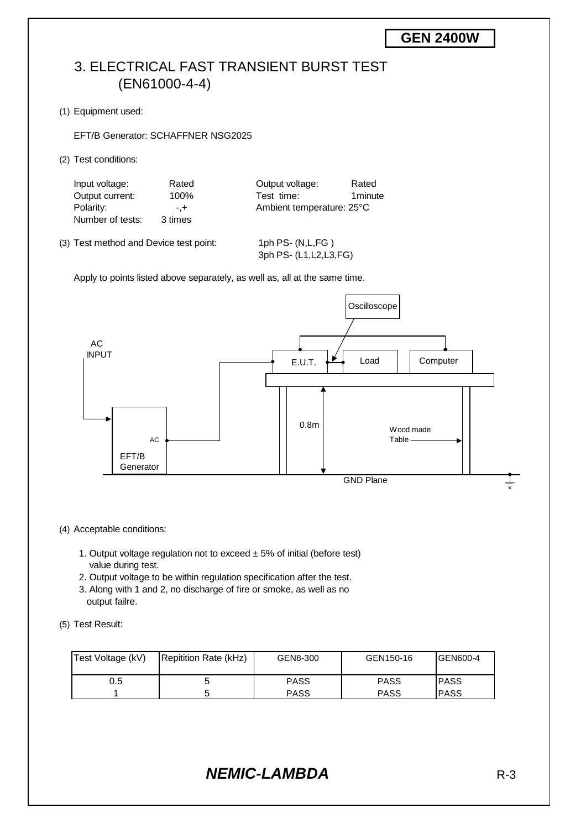## 3. ELECTRICAL FAST TRANSIENT BURST TEST (EN61000-4-4)

(1) Equipment used:

EFT/B Generator: SCHAFFNER NSG2025

(2) Test conditions:

| Input voltage:   | Rated   | Output voltage:           | Rated   |
|------------------|---------|---------------------------|---------|
| Output current:  | 100%    | Test time:                | 1minute |
| Polarity:        | $- +$   | Ambient temperature: 25°C |         |
| Number of tests: | 3 times |                           |         |

(3) Test method and Device test point: 1ph PS- (N,L,FG )

3ph PS- (L1,L2,L3,FG)

Apply to points listed above separately, as well as, all at the same time.



#### (4) Acceptable conditions:

- 1. Output voltage regulation not to exceed  $\pm$  5% of initial (before test) value during test.
- 2. Output voltage to be within regulation specification after the test.
- 3. Along with 1 and 2, no discharge of fire or smoke, as well as no output failre.
- (5) Test Result:

| Test Voltage (kV) | Repitition Rate (kHz) | GEN8-300    | GEN150-16   | <b>GEN600-4</b> |
|-------------------|-----------------------|-------------|-------------|-----------------|
| 0.5               | u                     | <b>PASS</b> | <b>PASS</b> | <b>IPASS</b>    |
|                   |                       | <b>PASS</b> | PASS        | <b>PASS</b>     |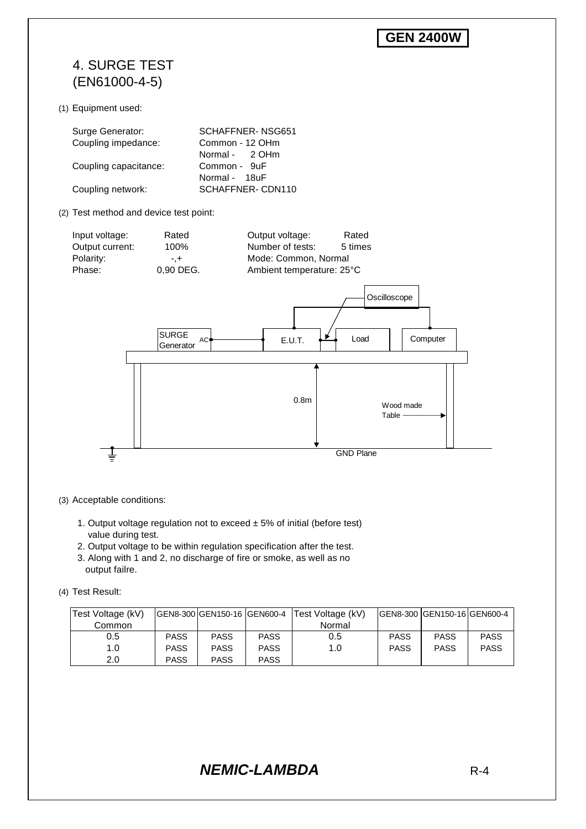## 4. SURGE TEST (EN61000-4-5)

(1) Equipment used:

| Surge Generator:      | SCHAFFNER-NSG651 |
|-----------------------|------------------|
| Coupling impedance:   | Common - 12 OHm  |
|                       | Normal - 2 OHm   |
| Coupling capacitance: | Common - 9uF     |
|                       | Normal - 18uF    |
| Coupling network:     | SCHAFFNER-CDN110 |

(2) Test method and device test point:





- (3) Acceptable conditions:
	- 1. Output voltage regulation not to exceed  $\pm$  5% of initial (before test) value during test.
	- 2. Output voltage to be within regulation specification after the test.
	- 3. Along with 1 and 2, no discharge of fire or smoke, as well as no output failre.
- (4) Test Result:

| Test Voltage (kV) |             | IGEN8-300 IGEN150-16 IGEN600-4 |             | Test Voltage (kV) |             | IGEN8-300 IGEN150-16 IGEN600-4 |             |
|-------------------|-------------|--------------------------------|-------------|-------------------|-------------|--------------------------------|-------------|
| Common            |             |                                |             | Normal            |             |                                |             |
| 0.5               | <b>PASS</b> | <b>PASS</b>                    | <b>PASS</b> | 0.5               | <b>PASS</b> | <b>PASS</b>                    | <b>PASS</b> |
| 1.0               | <b>PASS</b> | <b>PASS</b>                    | <b>PASS</b> | 1.0               | <b>PASS</b> | <b>PASS</b>                    | <b>PASS</b> |
| 2.0               | <b>PASS</b> | <b>PASS</b>                    | <b>PASS</b> |                   |             |                                |             |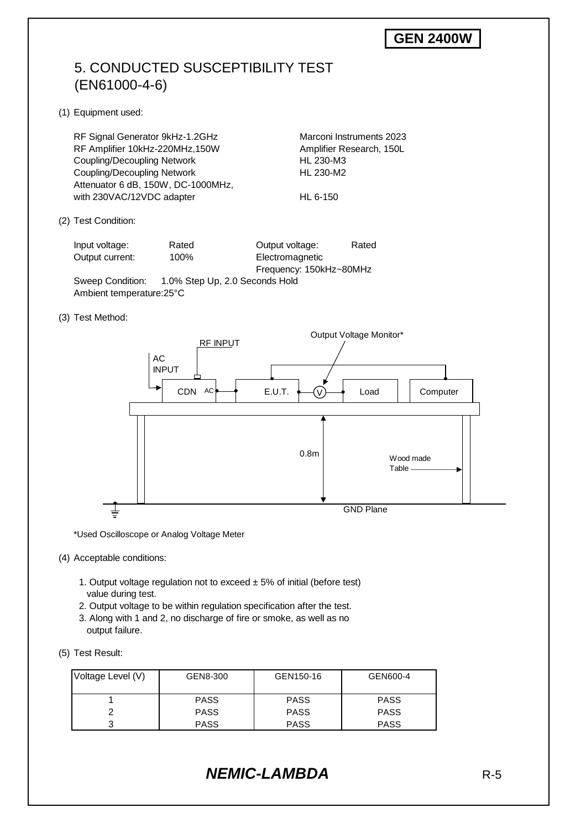## 5. CONDUCTED SUSCEPTIBILITY TEST (EN61000-4-6)

(1) Equipment used:

RF Signal Generator 9kHz-1.2GHz Marconi Instruments 2023 RF Amplifier 10kHz-220MHz,150W Amplifier Research, 150L Coupling/Decoupling Network HL 230-M3 Coupling/Decoupling Network HL 230-M2 Attenuator 6 dB, 150W, DC-1000MHz, with 230VAC/12VDC adapter HL 6-150

(2) Test Condition:

Input voltage: Rated Output voltage: Rated Output current: 100% Electromagnetic

Frequency: 150kHz~80MHz

Sweep Condition: 1.0% Step Up, 2.0 Seconds Hold Ambient temperature:25°C

(3) Test Method:



\*Used Oscilloscope or Analog Voltage Meter

#### (4) Acceptable conditions:

- 1. Output voltage regulation not to exceed  $\pm$  5% of initial (before test) value during test.
- 2. Output voltage to be within regulation specification after the test.
- 3. Along with 1 and 2, no discharge of fire or smoke, as well as no output failure.
- (5) Test Result:

| Voltage Level (V) | GEN8-300    | GEN150-16   | GEN600-4    |
|-------------------|-------------|-------------|-------------|
|                   | <b>PASS</b> | <b>PASS</b> | <b>PASS</b> |
|                   | <b>PASS</b> | <b>PASS</b> | <b>PASS</b> |
| ⌒                 | <b>PASS</b> | <b>PASS</b> | <b>PASS</b> |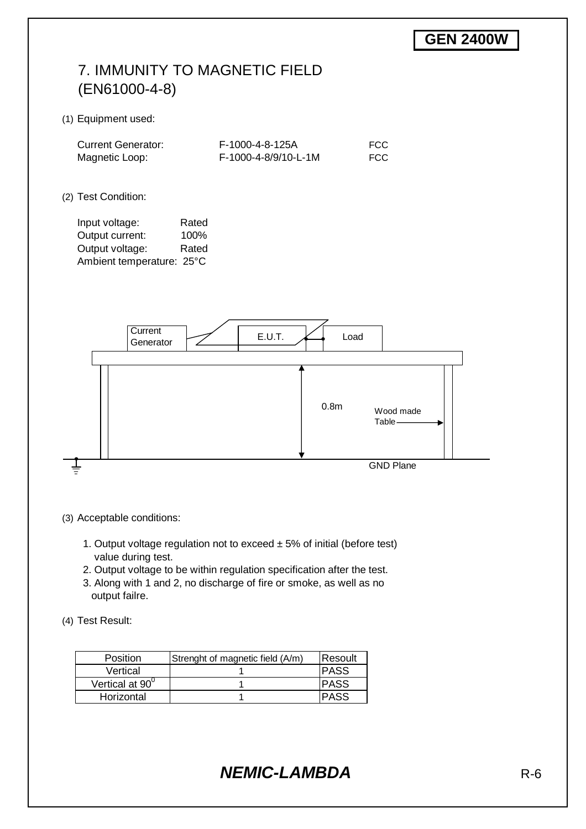# 7. IMMUNITY TO MAGNETIC FIELD (EN61000-4-8)

#### (1) Equipment used:

| <b>Current Generator:</b> | F-1000-4-8-125A      | <b>FCC</b> |
|---------------------------|----------------------|------------|
| Magnetic Loop:            | F-1000-4-8/9/10-L-1M | <b>FCC</b> |

#### (2) Test Condition:

Input voltage: Rated Output current: 100% Output voltage: Rated Ambient temperature: 25°C



(3) Acceptable conditions:

- 1. Output voltage regulation not to exceed  $\pm$  5% of initial (before test) value during test.
- 2. Output voltage to be within regulation specification after the test.
- 3. Along with 1 and 2, no discharge of fire or smoke, as well as no output failre.

(4) Test Result:

| <b>Position</b> | Strenght of magnetic field (A/m) | Resoult |
|-----------------|----------------------------------|---------|
| Vertical        |                                  | IPASS   |
| Vertical at 90° |                                  | IPASS   |
| Horizontal      |                                  |         |